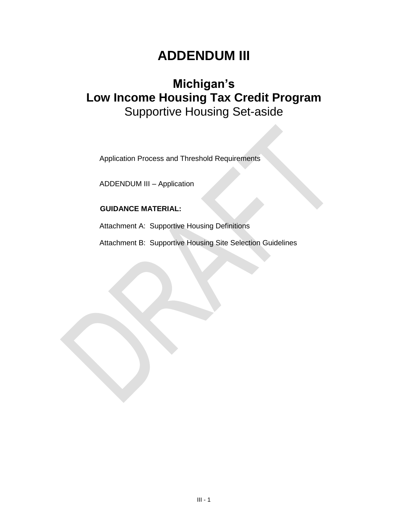# **ADDENDUM III**

# **Michigan's Low Income Housing Tax Credit Program** Supportive Housing Set-aside

Application Process and Threshold Requirements

ADDENDUM III – Application

## **GUIDANCE MATERIAL:**

Attachment A: Supportive Housing Definitions

Attachment B: Supportive Housing Site Selection Guidelines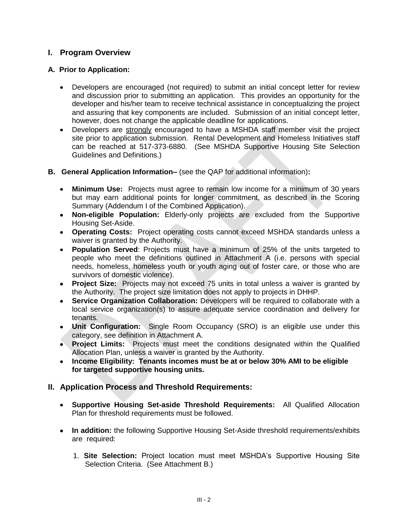# **I. Program Overview**

## **A. Prior to Application:**

- Developers are encouraged (not required) to submit an initial concept letter for review and discussion prior to submitting an application. This provides an opportunity for the developer and his/her team to receive technical assistance in conceptualizing the project and assuring that key components are included. Submission of an initial concept letter, however, does not change the applicable deadline for applications.
- Developers are strongly encouraged to have a MSHDA staff member visit the project site prior to application submission. Rental Development and Homeless Initiatives staff can be reached at 517-373-6880. (See MSHDA Supportive Housing Site Selection Guidelines and Definitions.)
- **B. General Application Information–** (see the QAP for additional information)**:** 
	- **Minimum Use:** Projects must agree to remain low income for a minimum of 30 years but may earn additional points for longer commitment, as described in the Scoring Summary (Addendum I of the Combined Application).
	- **Non-eligible Population:** Elderly-only projects are excluded from the Supportive Housing Set-Aside.
	- **Operating Costs:** Project operating costs cannot exceed MSHDA standards unless a waiver is granted by the Authority.
	- **Population Served**: Projects must have a minimum of 25% of the units targeted to people who meet the definitions outlined in Attachment A (i.e. persons with special needs, homeless, homeless youth or youth aging out of foster care, or those who are survivors of domestic violence).
	- **Project Size:** Projects may not exceed 75 units in total unless a waiver is granted by the Authority. The project size limitation does not apply to projects in DHHP.
	- **Service Organization Collaboration:** Developers will be required to collaborate with a local service organization(s) to assure adequate service coordination and delivery for tenants.
	- **Unit Configuration:** Single Room Occupancy (SRO) is an eligible use under this category, see definition in Attachment A.
	- **Project Limits:** Projects must meet the conditions designated within the Qualified Allocation Plan, unless a waiver is granted by the Authority.
	- **Income Eligibility: Tenants incomes must be at or below 30% AMI to be eligible for targeted supportive housing units.**

# **II. Application Process and Threshold Requirements:**

- **Supportive Housing Set-aside Threshold Requirements:** All Qualified Allocation Plan for threshold requirements must be followed.
- **In addition:** the following Supportive Housing Set-Aside threshold requirements/exhibits are required:
	- 1. **Site Selection:** Project location must meet MSHDA's Supportive Housing Site Selection Criteria. (See Attachment B.)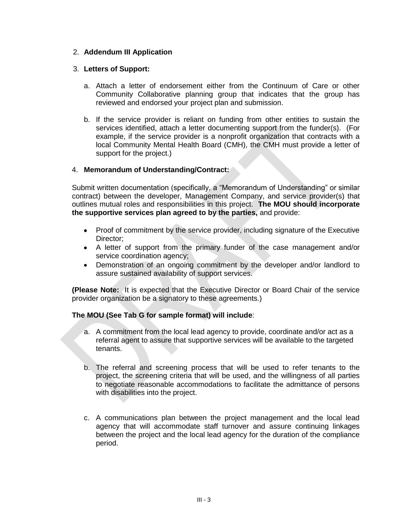#### 2. **Addendum III Application**

#### 3. **Letters of Support:**

- a. Attach a letter of endorsement either from the Continuum of Care or other Community Collaborative planning group that indicates that the group has reviewed and endorsed your project plan and submission.
- b. If the service provider is reliant on funding from other entities to sustain the services identified, attach a letter documenting support from the funder(s). (For example, if the service provider is a nonprofit organization that contracts with a local Community Mental Health Board (CMH), the CMH must provide a letter of support for the project.)

#### 4. **Memorandum of Understanding/Contract:**

Submit written documentation (specifically, a "Memorandum of Understanding" or similar contract) between the developer, Management Company, and service provider(s) that outlines mutual roles and responsibilities in this project. **The MOU should incorporate the supportive services plan agreed to by the parties,** and provide:

- $\bullet$ Proof of commitment by the service provider, including signature of the Executive Director;
- A letter of support from the primary funder of the case management and/or service coordination agency;
- $\bullet$ Demonstration of an ongoing commitment by the developer and/or landlord to assure sustained availability of support services.

**(Please Note:** It is expected that the Executive Director or Board Chair of the service provider organization be a signatory to these agreements.)

#### **The MOU (See Tab G for sample format) will include**:

- a. A commitment from the local lead agency to provide, coordinate and/or act as a referral agent to assure that supportive services will be available to the targeted tenants.
- b. The referral and screening process that will be used to refer tenants to the project, the screening criteria that will be used, and the willingness of all parties to negotiate reasonable accommodations to facilitate the admittance of persons with disabilities into the project.
- c. A communications plan between the project management and the local lead agency that will accommodate staff turnover and assure continuing linkages between the project and the local lead agency for the duration of the compliance period.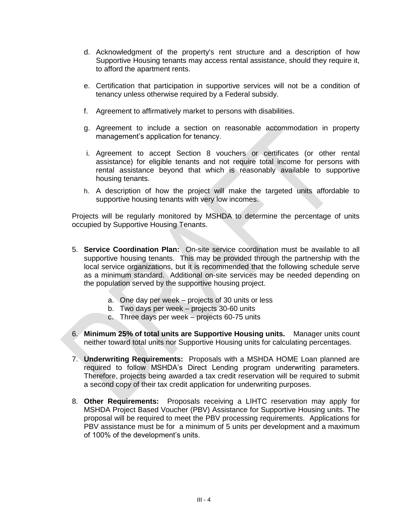- d. Acknowledgment of the property's rent structure and a description of how Supportive Housing tenants may access rental assistance, should they require it, to afford the apartment rents.
- e. Certification that participation in supportive services will not be a condition of tenancy unless otherwise required by a Federal subsidy.
- f. Agreement to affirmatively market to persons with disabilities.
- g. Agreement to include a section on reasonable accommodation in property management's application for tenancy.
- i. Agreement to accept Section 8 vouchers or certificates (or other rental assistance) for eligible tenants and not require total income for persons with rental assistance beyond that which is reasonably available to supportive housing tenants.
- h. A description of how the project will make the targeted units affordable to supportive housing tenants with very low incomes.

Projects will be regularly monitored by MSHDA to determine the percentage of units occupied by Supportive Housing Tenants.

- 5. **Service Coordination Plan:** On-site service coordination must be available to all supportive housing tenants. This may be provided through the partnership with the local service organizations, but it is recommended that the following schedule serve as a minimum standard. Additional on-site services may be needed depending on the population served by the supportive housing project.
	- a. One day per week projects of 30 units or less
	- b. Two days per week projects 30-60 units
	- c. Three days per week projects 60-75 units
- 6. **Minimum 25% of total units are Supportive Housing units.** Manager units count neither toward total units nor Supportive Housing units for calculating percentages.
- 7. **Underwriting Requirements:** Proposals with a MSHDA HOME Loan planned are required to follow MSHDA's Direct Lending program underwriting parameters. Therefore, projects being awarded a tax credit reservation will be required to submit a second copy of their tax credit application for underwriting purposes.
- 8. **Other Requirements:** Proposals receiving a LIHTC reservation may apply for MSHDA Project Based Voucher (PBV) Assistance for Supportive Housing units. The proposal will be required to meet the PBV processing requirements. Applications for PBV assistance must be for a minimum of 5 units per development and a maximum of 100% of the development's units.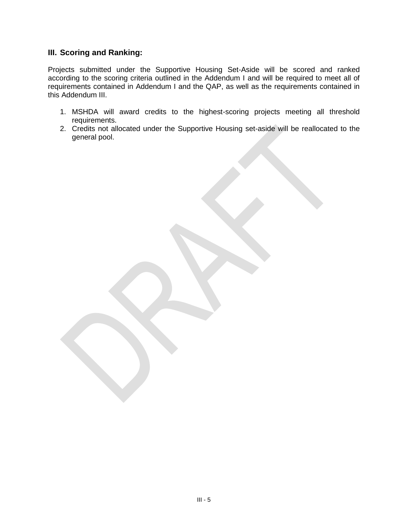# **III. Scoring and Ranking:**

Projects submitted under the Supportive Housing Set-Aside will be scored and ranked according to the scoring criteria outlined in the Addendum I and will be required to meet all of requirements contained in Addendum I and the QAP, as well as the requirements contained in this Addendum III.

- 1. MSHDA will award credits to the highest-scoring projects meeting all threshold requirements.
- 2. Credits not allocated under the Supportive Housing set-aside will be reallocated to the general pool.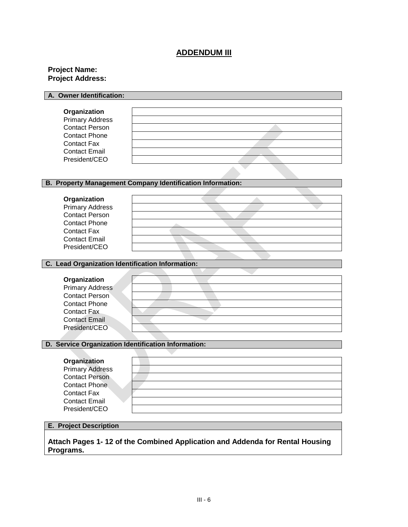# **ADDENDUM III**

#### **Project Name: Project Address:**

| A. Owner Identification: |  |
|--------------------------|--|
|                          |  |
| Organization             |  |
| <b>Primary Address</b>   |  |
| <b>Contact Person</b>    |  |
| <b>Contact Phone</b>     |  |
| Contact Fax              |  |
| <b>Contact Email</b>     |  |
| President/CEO            |  |
|                          |  |

#### **B. Property Management Company Identification Information:**

| Organization           |  |
|------------------------|--|
| <b>Primary Address</b> |  |
| <b>Contact Person</b>  |  |
| <b>Contact Phone</b>   |  |
| <b>Contact Fax</b>     |  |
| <b>Contact Email</b>   |  |
| President/CEO          |  |

#### **C. Lead Organization Identification Information:**

h

# **Organization**

| Urganization           |  |
|------------------------|--|
| <b>Primary Address</b> |  |
| <b>Contact Person</b>  |  |
| Contact Phone          |  |
| Contact Fax            |  |
| <b>Contact Email</b>   |  |
| President/CEO          |  |
|                        |  |

#### **D. Service Organization Identification Information:**

| Organization           |  |
|------------------------|--|
| <b>Primary Address</b> |  |
| <b>Contact Person</b>  |  |
| <b>Contact Phone</b>   |  |
| <b>Contact Fax</b>     |  |
| <b>Contact Email</b>   |  |
| President/CEO          |  |

#### **E. Project Description**

**Attach Pages 1- 12 of the Combined Application and Addenda for Rental Housing Programs.**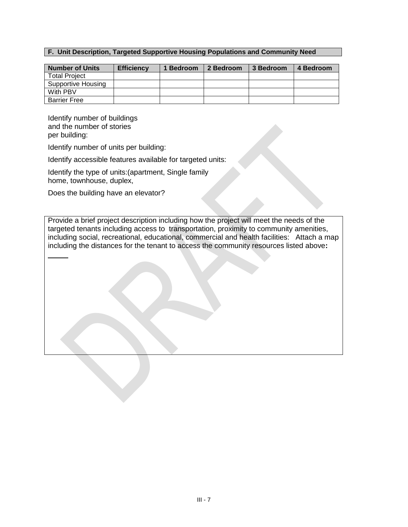#### **F. Unit Description, Targeted Supportive Housing Populations and Community Need**

| <b>Number of Units</b> | <b>Efficiency</b> | <b>Bedroom</b> | 2 Bedroom | 3 Bedroom | 4 Bedroom |
|------------------------|-------------------|----------------|-----------|-----------|-----------|
| <b>Total Project</b>   |                   |                |           |           |           |
| Supportive Housing     |                   |                |           |           |           |
| With PBV               |                   |                |           |           |           |
| <b>Barrier Free</b>    |                   |                |           |           |           |

Identify number of buildings and the number of stories per building:

Identify number of units per building:

Identify accessible features available for targeted units:

Identify the type of units:(apartment, Single family home, townhouse, duplex,

Does the building have an elevator?

Provide a brief project description including how the project will meet the needs of the targeted tenants including access to transportation, proximity to community amenities, including social, recreational, educational, commercial and health facilities: Attach a map including the distances for the tenant to access the community resources listed above**:**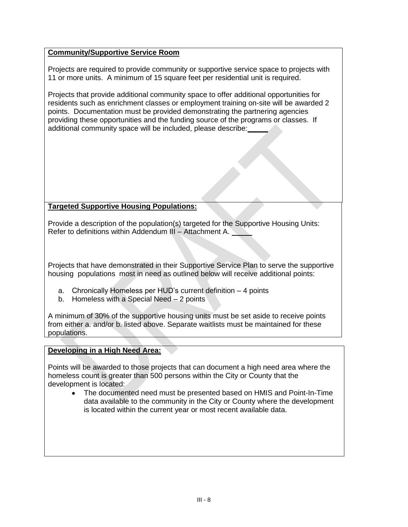### **Community/Supportive Service Room**

Projects are required to provide community or supportive service space to projects with 11 or more units. A minimum of 15 square feet per residential unit is required.

Projects that provide additional community space to offer additional opportunities for residents such as enrichment classes or employment training on-site will be awarded 2 points. Documentation must be provided demonstrating the partnering agencies providing these opportunities and the funding source of the programs or classes. If additional community space will be included, please describe:

## **Targeted Supportive Housing Populations:**

Provide a description of the population(s) targeted for the Supportive Housing Units: Refer to definitions within Addendum III – Attachment A.

Projects that have demonstrated in their Supportive Service Plan to serve the supportive housing populations most in need as outlined below will receive additional points:

- a. Chronically Homeless per HUD's current definition 4 points
- b. Homeless with a Special Need 2 points

A minimum of 30% of the supportive housing units must be set aside to receive points from either a. and/or b. listed above. Separate waitlists must be maintained for these populations.

#### **Developing in a High Need Area:**

Points will be awarded to those projects that can document a high need area where the homeless count is greater than 500 persons within the City or County that the development is located:

The documented need must be presented based on HMIS and Point-In-Time data available to the community in the City or County where the development is located within the current year or most recent available data.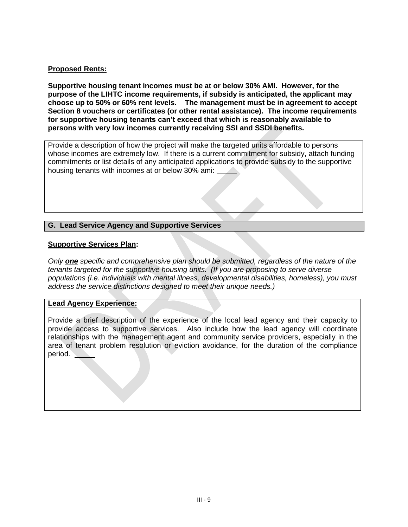#### **Proposed Rents:**

**Supportive housing tenant incomes must be at or below 30% AMI. However, for the purpose of the LIHTC income requirements, if subsidy is anticipated, the applicant may choose up to 50% or 60% rent levels. The management must be in agreement to accept Section 8 vouchers or certificates (or other rental assistance). The income requirements for supportive housing tenants can't exceed that which is reasonably available to persons with very low incomes currently receiving SSI and SSDI benefits.** 

Provide a description of how the project will make the targeted units affordable to persons whose incomes are extremely low. If there is a current commitment for subsidy, attach funding commitments or list details of any anticipated applications to provide subsidy to the supportive housing tenants with incomes at or below 30% ami:

### **G. Lead Service Agency and Supportive Services**

#### **Supportive Services Plan:**

*Only one specific and comprehensive plan should be submitted, regardless of the nature of the tenants targeted for the supportive housing units. (If you are proposing to serve diverse populations (i.e. individuals with mental illness, developmental disabilities, homeless), you must address the service distinctions designed to meet their unique needs.)*

#### **Lead Agency Experience:**

Provide a brief description of the experience of the local lead agency and their capacity to provide access to supportive services. Also include how the lead agency will coordinate relationships with the management agent and community service providers, especially in the area of tenant problem resolution or eviction avoidance, for the duration of the compliance period.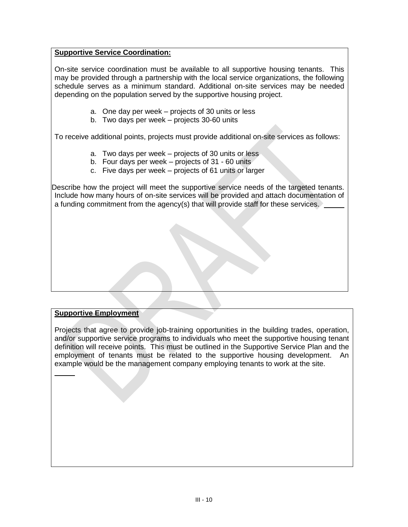#### **Supportive Service Coordination:**

On-site service coordination must be available to all supportive housing tenants. This may be provided through a partnership with the local service organizations, the following schedule serves as a minimum standard. Additional on-site services may be needed depending on the population served by the supportive housing project.

- a. One day per week projects of 30 units or less
- b. Two days per week projects 30-60 units

To receive additional points, projects must provide additional on-site services as follows:

- a. Two days per week projects of 30 units or less
- b. Four days per week projects of 31 60 units
- c. Five days per week projects of 61 units or larger

Describe how the project will meet the supportive service needs of the targeted tenants. Include how many hours of on-site services will be provided and attach documentation of a funding commitment from the agency(s) that will provide staff for these services.

#### **Supportive Employment**

Projects that agree to provide job-training opportunities in the building trades, operation, and/or supportive service programs to individuals who meet the supportive housing tenant definition will receive points. This must be outlined in the Supportive Service Plan and the employment of tenants must be related to the supportive housing development. An example would be the management company employing tenants to work at the site.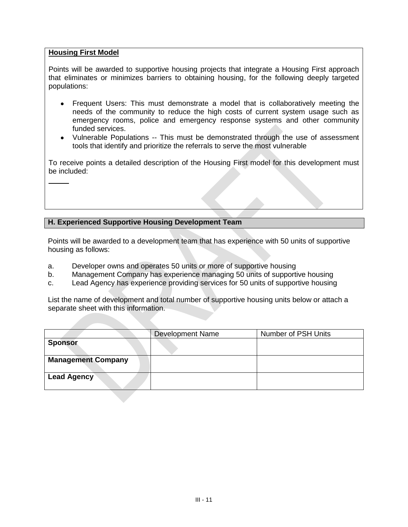#### **Housing First Model**

Points will be awarded to supportive housing projects that integrate a Housing First approach that eliminates or minimizes barriers to obtaining housing, for the following deeply targeted populations:

- Frequent Users: This must demonstrate a model that is collaboratively meeting the needs of the community to reduce the high costs of current system usage such as emergency rooms, police and emergency response systems and other community funded services.
- Vulnerable Populations -- This must be demonstrated through the use of assessment tools that identify and prioritize the referrals to serve the most vulnerable

To receive points a detailed description of the Housing First model for this development must be included:

### **H. Experienced Supportive Housing Development Team**

Points will be awarded to a development team that has experience with 50 units of supportive housing as follows:

- a. Developer owns and operates 50 units or more of supportive housing
- b. Management Company has experience managing 50 units of supportive housing
- c. Lead Agency has experience providing services for 50 units of supportive housing

List the name of development and total number of supportive housing units below or attach a separate sheet with this information.

|                           | <b>Development Name</b> | <b>Number of PSH Units</b> |
|---------------------------|-------------------------|----------------------------|
| <b>Sponsor</b>            |                         |                            |
|                           |                         |                            |
| <b>Management Company</b> |                         |                            |
| <b>Lead Agency</b>        |                         |                            |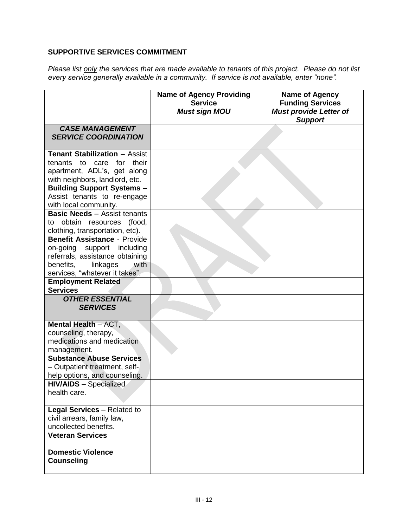## **SUPPORTIVE SERVICES COMMITMENT**

*Please list only the services that are made available to tenants of this project. Please do not list every service generally available in a community. If service is not available, enter "none".*

|                                                                                                                                                                         | <b>Name of Agency Providing</b><br><b>Service</b><br><b>Must sign MOU</b> | <b>Name of Agency</b><br><b>Funding Services</b><br><b>Must provide Letter of</b><br><b>Support</b> |
|-------------------------------------------------------------------------------------------------------------------------------------------------------------------------|---------------------------------------------------------------------------|-----------------------------------------------------------------------------------------------------|
| <b>CASE MANAGEMENT</b><br><b>SERVICE COORDINATION</b>                                                                                                                   |                                                                           |                                                                                                     |
| <b>Tenant Stabilization - Assist</b><br>tenants to care for<br>their<br>apartment, ADL's, get along<br>with neighbors, landlord, etc.                                   |                                                                           |                                                                                                     |
| <b>Building Support Systems -</b><br>Assist tenants to re-engage<br>with local community.                                                                               |                                                                           |                                                                                                     |
| <b>Basic Needs - Assist tenants</b><br>to obtain resources (food,<br>clothing, transportation, etc).                                                                    |                                                                           |                                                                                                     |
| <b>Benefit Assistance - Provide</b><br>on-going support including<br>referrals, assistance obtaining<br>benefits,<br>linkages<br>with<br>services, "whatever it takes". |                                                                           |                                                                                                     |
| <b>Employment Related</b><br><b>Services</b>                                                                                                                            |                                                                           |                                                                                                     |
| <b>OTHER ESSENTIAL</b><br><b>SERVICES</b>                                                                                                                               |                                                                           |                                                                                                     |
| Mental Health - ACT,<br>counseling, therapy,<br>medications and medication<br>management.                                                                               |                                                                           |                                                                                                     |
| <b>Substance Abuse Services</b><br>- Outpatient treatment, self-<br>help options, and counseling.                                                                       |                                                                           |                                                                                                     |
| <b>HIV/AIDS</b> - Specialized<br>health care.                                                                                                                           |                                                                           |                                                                                                     |
| Legal Services - Related to<br>civil arrears, family law,<br>uncollected benefits.                                                                                      |                                                                           |                                                                                                     |
| <b>Veteran Services</b>                                                                                                                                                 |                                                                           |                                                                                                     |
| <b>Domestic Violence</b><br><b>Counseling</b>                                                                                                                           |                                                                           |                                                                                                     |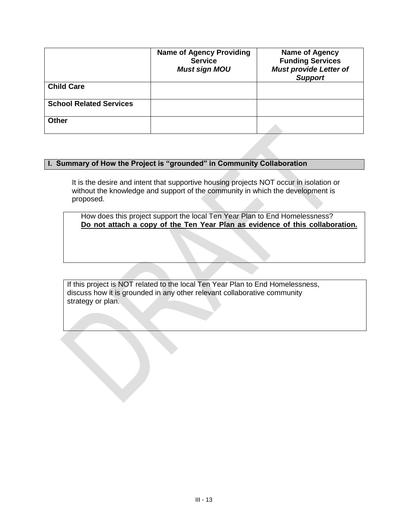|                                | <b>Name of Agency Providing</b><br><b>Service</b><br><b>Must sign MOU</b> | Name of Agency<br><b>Funding Services</b><br><b>Must provide Letter of</b><br><b>Support</b> |
|--------------------------------|---------------------------------------------------------------------------|----------------------------------------------------------------------------------------------|
| <b>Child Care</b>              |                                                                           |                                                                                              |
| <b>School Related Services</b> |                                                                           |                                                                                              |
| <b>Other</b>                   |                                                                           |                                                                                              |

## **I. Summary of How the Project is "grounded" in Community Collaboration**

It is the desire and intent that supportive housing projects NOT occur in isolation or without the knowledge and support of the community in which the development is proposed.

How does this project support the local Ten Year Plan to End Homelessness? **Do not attach a copy of the Ten Year Plan as evidence of this collaboration.**

If this project is NOT related to the local Ten Year Plan to End Homelessness, discuss how it is grounded in any other relevant collaborative community strategy or plan.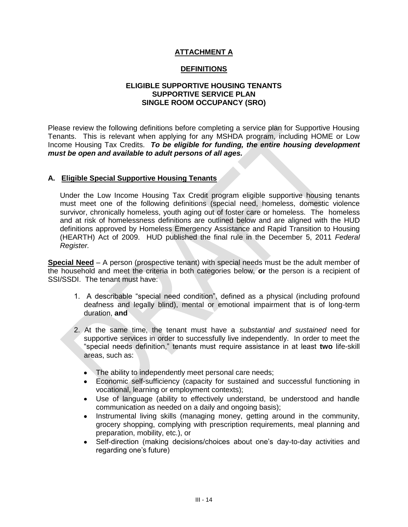## **ATTACHMENT A**

## **DEFINITIONS**

#### **ELIGIBLE SUPPORTIVE HOUSING TENANTS SUPPORTIVE SERVICE PLAN SINGLE ROOM OCCUPANCY (SRO)**

Please review the following definitions before completing a service plan for Supportive Housing Tenants. This is relevant when applying for any MSHDA program, including HOME or Low Income Housing Tax Credits. *To be eligible for funding, the entire housing development must be open and available to adult persons of all ages.*

#### **A. Eligible Special Supportive Housing Tenants**

Under the Low Income Housing Tax Credit program eligible supportive housing tenants must meet one of the following definitions (special need, homeless, domestic violence survivor, chronically homeless, youth aging out of foster care or homeless. The homeless and at risk of homelessness definitions are outlined below and are aligned with the HUD definitions approved by Homeless Emergency Assistance and Rapid Transition to Housing (HEARTH) Act of 2009. HUD published the final rule in the December 5, 2011 *Federal Register.*

**Special Need** – A person (prospective tenant) with special needs must be the adult member of the household and meet the criteria in both categories below, **or** the person is a recipient of SSI/SSDI. The tenant must have:

- 1. A describable "special need condition", defined as a physical (including profound deafness and legally blind), mental or emotional impairment that is of long-term duration, **and**
- 2. At the same time, the tenant must have a *substantial and sustained* need for supportive services in order to successfully live independently. In order to meet the "special needs definition," tenants must require assistance in at least **two** life-skill areas, such as:
	- The ability to independently meet personal care needs;
	- Economic self-sufficiency (capacity for sustained and successful functioning in  $\bullet$ vocational, learning or employment contexts);
	- $\bullet$ Use of language (ability to effectively understand, be understood and handle communication as needed on a daily and ongoing basis);
	- $\bullet$ Instrumental living skills (managing money, getting around in the community, grocery shopping, complying with prescription requirements, meal planning and preparation, mobility, etc.), or
	- $\bullet$ Self-direction (making decisions/choices about one's day-to-day activities and regarding one's future)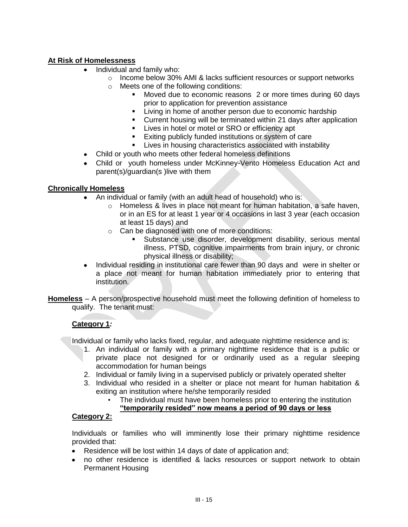## **At Risk of Homelessness**

- Individual and family who:
	- o Income below 30% AMI & lacks sufficient resources or support networks o Meets one of the following conditions:
		- Moved due to economic reasons 2 or more times during 60 days prior to application for prevention assistance
		- **EXECT** Living in home of another person due to economic hardship
		- **Current housing will be terminated within 21 days after application**
		- **EXECT:** Lives in hotel or motel or SRO or efficiency apt
		- **Exiting publicly funded institutions or system of care**
		- **EXECT:** Lives in housing characteristics associated with instability
- Child or youth who meets other federal homeless definitions
- Child or youth homeless under McKinney-Vento Homeless Education Act and parent(s)/guardian(s )live with them

### **Chronically Homeless**

- An individual or family (with an adult head of household) who is:
	- o Homeless & lives in place not meant for human habitation, a safe haven, or in an ES for at least 1 year or 4 occasions in last 3 year (each occasion at least 15 days) and
	- o Can be diagnosed with one of more conditions:
		- Substance use disorder, development disability, serious mental illness, PTSD, cognitive impairments from brain injury, or chronic physical illness or disability;
- Individual residing in institutional care fewer than 90 days and were in shelter or  $\bullet$ a place not meant for human habitation immediately prior to entering that institution.

**Homeless** – A person/prospective household must meet the following definition of homeless to qualify. The tenant must:

## **Category 1***:*

Individual or family who lacks fixed, regular, and adequate nighttime residence and is:

- 1. An individual or family with a primary nighttime residence that is a public or private place not designed for or ordinarily used as a regular sleeping accommodation for human beings
- 2. Individual or family living in a supervised publicly or privately operated shelter
- 3. Individual who resided in a shelter or place not meant for human habitation & exiting an institution where he/she temporarily resided
	- The individual must have been homeless prior to entering the institution **"temporarily resided" now means a period of 90 days or less**

## **Category 2:**

Individuals or families who will imminently lose their primary nighttime residence provided that:

- Residence will be lost within 14 days of date of application and;
- no other residence is identified & lacks resources or support network to obtain Permanent Housing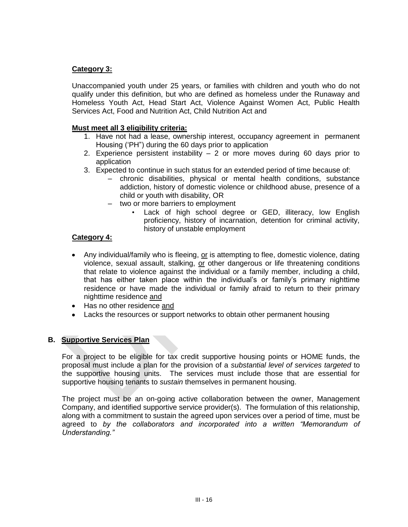## **Category 3:**

Unaccompanied youth under 25 years, or families with children and youth who do not qualify under this definition, but who are defined as homeless under the Runaway and Homeless Youth Act, Head Start Act, Violence Against Women Act, Public Health Services Act, Food and Nutrition Act, Child Nutrition Act and

#### **Must meet all 3 eligibility criteria:**

- 1. Have not had a lease, ownership interest, occupancy agreement in permanent Housing ('PH") during the 60 days prior to application
- 2. Experience persistent instability 2 or more moves during 60 days prior to application
- 3. Expected to continue in such status for an extended period of time because of:
	- chronic disabilities, physical or mental health conditions, substance addiction, history of domestic violence or childhood abuse, presence of a child or youth with disability, OR
	- two or more barriers to employment
		- Lack of high school degree or GED, illiteracy, low English proficiency, history of incarnation, detention for criminal activity, history of unstable employment

#### **Category 4:**

- Any individual/family who is fleeing, or is attempting to flee, domestic violence, dating violence, sexual assault, stalking, or other dangerous or life threatening conditions that relate to violence against the individual or a family member, including a child, that has either taken place within the individual's or family's primary nighttime residence or have made the individual or family afraid to return to their primary nighttime residence and
- Has no other residence and
- Lacks the resources or support networks to obtain other permanent housing

#### **B. Supportive Services Plan**

For a project to be eligible for tax credit supportive housing points or HOME funds, the proposal must include a plan for the provision of a *substantial level of services targeted* to the supportive housing units. The services must include those that are essential for supportive housing tenants to *sustain* themselves in permanent housing.

The project must be an on-going active collaboration between the owner, Management Company, and identified supportive service provider(s). The formulation of this relationship, along with a commitment to sustain the agreed upon services over a period of time, must be agreed to *by the collaborators and incorporated into a written "Memorandum of Understanding."*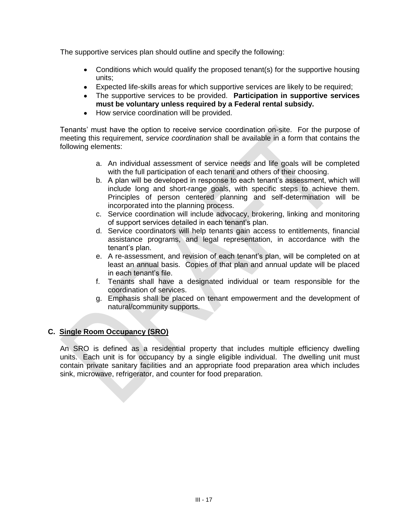The supportive services plan should outline and specify the following:

- Conditions which would qualify the proposed tenant(s) for the supportive housing units;
- Expected life-skills areas for which supportive services are likely to be required;
- The supportive services to be provided. **Participation in supportive services must be voluntary unless required by a Federal rental subsidy.**
- How service coordination will be provided.

Tenants' must have the option to receive service coordination on-site. For the purpose of meeting this requirement, *service coordination* shall be available in a form that contains the following elements:

- a. An individual assessment of service needs and life goals will be completed with the full participation of each tenant and others of their choosing.
- b. A plan will be developed in response to each tenant's assessment, which will include long and short-range goals, with specific steps to achieve them. Principles of person centered planning and self-determination will be incorporated into the planning process.
- c. Service coordination will include advocacy, brokering, linking and monitoring of support services detailed in each tenant's plan.
- d. Service coordinators will help tenants gain access to entitlements, financial assistance programs, and legal representation, in accordance with the tenant's plan.
- e. A re-assessment, and revision of each tenant's plan, will be completed on at least an annual basis. Copies of that plan and annual update will be placed in each tenant's file.
- f. Tenants shall have a designated individual or team responsible for the coordination of services.
- g. Emphasis shall be placed on tenant empowerment and the development of natural/community supports.

## **C. Single Room Occupancy (SRO)**

An SRO is defined as a residential property that includes multiple efficiency dwelling units. Each unit is for occupancy by a single eligible individual. The dwelling unit must contain private sanitary facilities and an appropriate food preparation area which includes sink, microwave, refrigerator, and counter for food preparation.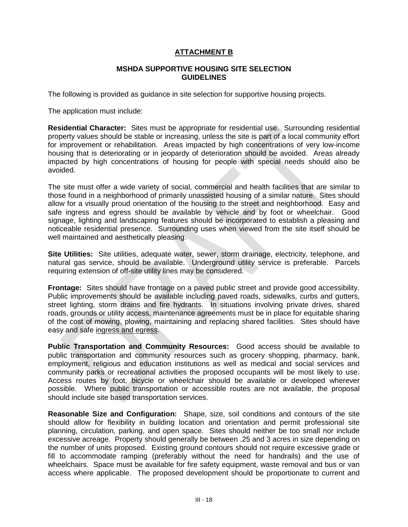## **ATTACHMENT B**

#### **MSHDA SUPPORTIVE HOUSING SITE SELECTION GUIDELINES**

The following is provided as guidance in site selection for supportive housing projects.

The application must include:

**Residential Character:** Sites must be appropriate for residential use. Surrounding residential property values should be stable or increasing, unless the site is part of a local community effort for improvement or rehabilitation. Areas impacted by high concentrations of very low-income housing that is deteriorating or in jeopardy of deterioration should be avoided. Areas already impacted by high concentrations of housing for people with special needs should also be avoided.

The site must offer a wide variety of social, commercial and health facilities that are similar to those found in a neighborhood of primarily unassisted housing of a similar nature. Sites should allow for a visually proud orientation of the housing to the street and neighborhood. Easy and safe ingress and egress should be available by vehicle and by foot or wheelchair. Good signage, lighting and landscaping features should be incorporated to establish a pleasing and noticeable residential presence. Surrounding uses when viewed from the site itself should be well maintained and aesthetically pleasing.

**Site Utilities:** Site utilities, adequate water, sewer, storm drainage, electricity, telephone, and natural gas service, should be available. Underground utility service is preferable. Parcels requiring extension of off-site utility lines may be considered.

**Frontage:** Sites should have frontage on a paved public street and provide good accessibility. Public improvements should be available including paved roads, sidewalks, curbs and gutters, street lighting, storm drains and fire hydrants. In situations involving private drives, shared roads, grounds or utility access, maintenance agreements must be in place for equitable sharing of the cost of mowing, plowing, maintaining and replacing shared facilities. Sites should have easy and safe ingress and egress.

**Public Transportation and Community Resources:** Good access should be available to public transportation and community resources such as grocery shopping, pharmacy, bank, employment, religious and education institutions as well as medical and social services and community parks or recreational activities the proposed occupants will be most likely to use. Access routes by foot, bicycle or wheelchair should be available or developed wherever possible. Where public transportation or accessible routes are not available, the proposal should include site based transportation services.

**Reasonable Size and Configuration:** Shape, size, soil conditions and contours of the site should allow for flexibility in building location and orientation and permit professional site planning, circulation, parking, and open space. Sites should neither be too small nor include excessive acreage. Property should generally be between .25 and 3 acres in size depending on the number of units proposed. Existing ground contours should not require excessive grade or fill to accommodate ramping (preferably without the need for handrails) and the use of wheelchairs. Space must be available for fire safety equipment, waste removal and bus or van access where applicable. The proposed development should be proportionate to current and